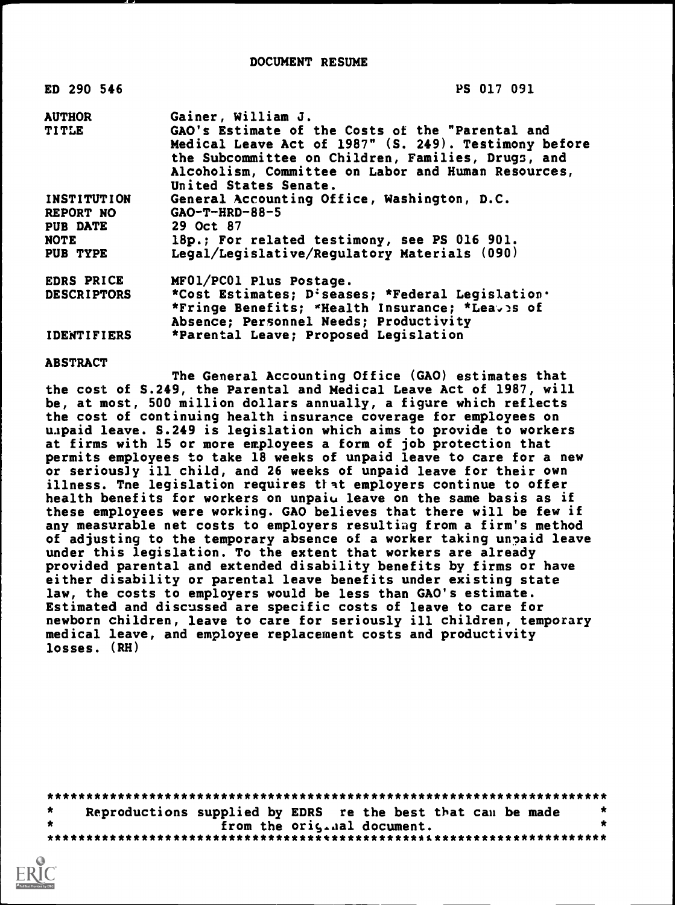DOCUMENT RESUME

| ED 290 546         | PS 017 091                                                                                                                                                                                                                                      |
|--------------------|-------------------------------------------------------------------------------------------------------------------------------------------------------------------------------------------------------------------------------------------------|
| <b>AUTHOR</b>      | Gainer, William J.                                                                                                                                                                                                                              |
| <b>TITLE</b>       | GAO's Estimate of the Costs of the "Parental and<br>Medical Leave Act of 1987" (S. 249). Testimony before<br>the Subcommittee on Children, Families, Drugs, and<br>Alcoholism, Committee on Labor and Human Resources,<br>United States Senate. |
| <b>INSTITUTION</b> | General Accounting Office, Washington, D.C.                                                                                                                                                                                                     |
| REPORT NO          | $GAO-T-HRD-88-5$                                                                                                                                                                                                                                |
| <b>PUB DATE</b>    | 29 Oct 87                                                                                                                                                                                                                                       |
| NOTE               | 18p.; For related testimony, see PS 016 901.                                                                                                                                                                                                    |
| PUB TYPE           | Legal/Legislative/Regulatory Materials (090)                                                                                                                                                                                                    |
| EDRS PRICE         | MFO1/PC01 Plus Postage.                                                                                                                                                                                                                         |
| <b>DESCRIPTORS</b> | *Cost Estimates; D:seases; *Federal Legislation.                                                                                                                                                                                                |
|                    | *Fringe Benefits; *Health Insurance; *Leaves of                                                                                                                                                                                                 |
|                    | Absence; Personnel Needs; Productivity                                                                                                                                                                                                          |
| <b>IDENTIFIERS</b> | *Parental Leave; Proposed Legislation                                                                                                                                                                                                           |

ABSTRACT

The General Accounting Office (GAO) estimates that the cost of S.249, the Parental and Medical Leave Act of 1987, will be, at most, 500 million dollars annually, a figure which reflects the cost of continuing health insurance coverage for employees on unpaid leave. S.249 is legislation which aims to provide to workers at firms with 15 or more employees a form of job protection that permits employees to take 18 weeks of unpaid leave to care for a new or seriously ill child, and 26 weeks of unpaid leave for their own illness. Tne legislation requires that employers continue to offer health benefits for workers on unpaiu leave on the same basis as if these employees were working. GAO believes that there will be few if any measurable net costs to employers resulting from a firm's method of adjusting to the temporary absence of a worker taking unpaid leave under this legislation. To the extent that workers are already provided parental and extended disability benefits by firms or have either disability or parental leave benefits under existing state law, the costs to employers would be less than GAO's estimate. Estimated and discussed are specific costs of leave to care for newborn children, leave to care for seriously ill children, temporary medical leave, and employee replacement costs and productivity losses. (RH)

\*\*\*\*\*\*\*\*\*\*\*\*\*\*\*\*\*\*\*\*\*\*\*\*\*\*\*\*\*\*\*\*\*\*\*\*\*\*\*\*\*\*\*\*\*\*\*\*\*\*\*\*\*\*\*\*\*\*\*\*\*\*\*\*\*\*\*\*\*\*\*  $\bullet$ Reproductions supplied by EDRS re the best that can be made  $\qquad$ from the oris.aal document. \*\*\*\*\*\*\*\*\*\*\*\*\*\*\*\*\*\*\*\*\*\*\*\*\*\*\*\*\*\*\*\*\*\*\*\*\*\*\*\*\*\*\*\*\*\*\*\*\*\*\*\*\*\*\*\*\*\*\*\*\*\*\*\*\*\*\*\*\*\*\*

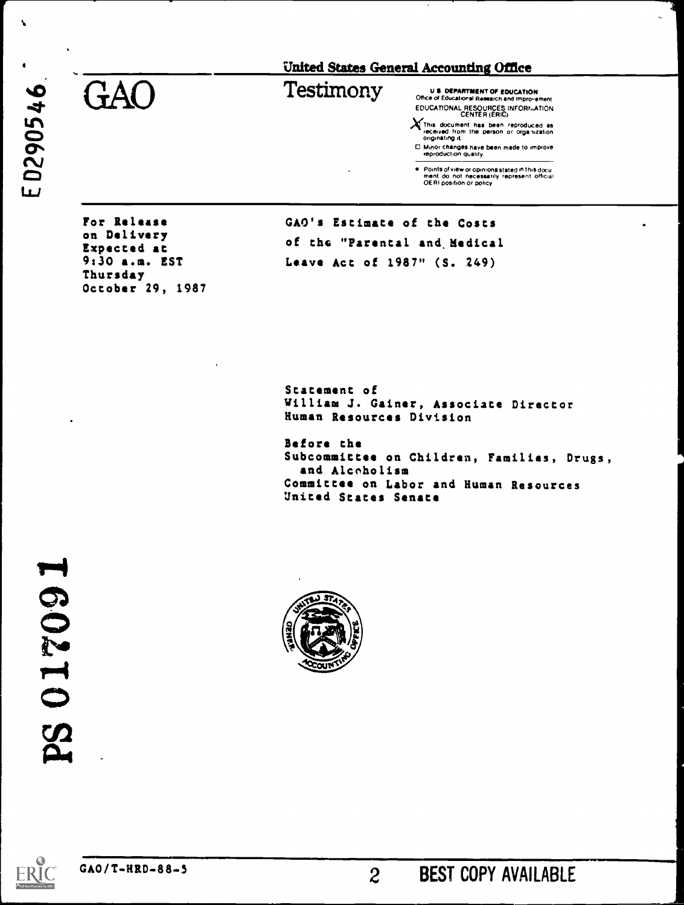$\bullet$  Generations  $\bullet$  Testimony Us department of Education Office of Educational Research and Improvement

EDUCATIONAL RESOURCES INFORT, ATION<br>
This document has been reproduced as<br>
received from the person or organization<br>
originating it

C7 Minor changes have been made to improve<br>
reproduction quality

● Points of view or opinions stated in this docu<br>- ment: do: not: necessarily -represent: official<br>- OERI position or policy

For Release on Delivery Expected at 9:30 a.m. EST Thursday October 29, 1987 GAO's Estimate of the Costs of the "Parental and Medical Leave Act of 1987" (S. 249)

Statement of William J. Gainer, Associate Director Human Resources Division

Before the Subcommittee on Children, Families, Drugs, and Alcoholism Committee on Labor and Human Resources United States Senate

PS 017091



 $\overline{c}$ 



N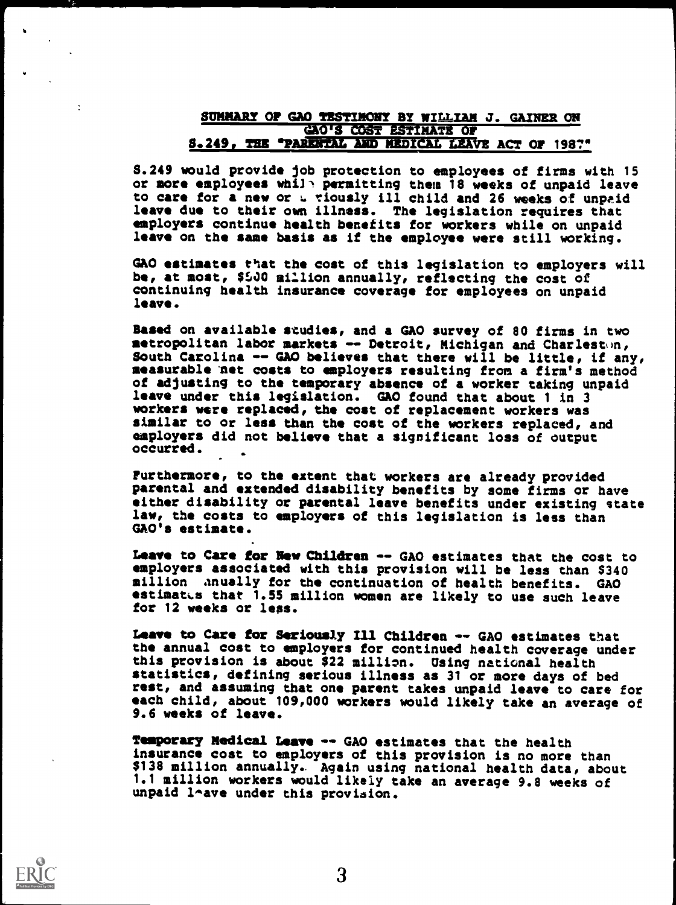### SUMMARY OF GAO TESTIMONY BY WILLIAM J. GAINER ON GAO'S COST ESTIMATE OP S.249, THE "PARENTAL AND HEDICAL LEAVE ACT OF 1987"

8.249 would provide job protection to employees of firms with 15 or more employees while permitting them 18 weeks of unpaid leave to care for a new or a viously ill child and 26 weeks of unpaid leave due to their own illness. The legislation requires that employers continue health benefits for workers while on unpaid leave on the same basis as if the employee were still working.

GAO estimates that the cost of this legislation to employers will be, at most, \$540 million annually, reflecting the cost of continuing health insurance coverage for employees on unpaid leave.

Based on available studies, and a GAO survey of 80 firms in two metropolitan labor markets -- Detroit, Michigan and Charleston, South Carolina -- GAO believes that there will be little, if any, measurable net costs to employers resulting from a firm's method of adjusting to the temporary absence of a worker taking unpaid leave under this legislation. GAO found that about 1 in 3 workers were replaced, the cost of replacement workers was similar to or less than the cost of the workers replaced, and employers did not believe that a significant loss of output occurred.

Furthermore, to the extent that workers are already provided parental and extended disability benefits by some firms or have either disability or parental leave benefits under existing state law, the costs to employers of this legislation is less than GAO's estimate.

Leave to Care for New Children -- GAO estimates that the cost to employers associated with this provision will be less than \$340 million anually for the continuation of health benefits. GAO estimates that 1.55 million women are likely to use such leave for 12 weeks or less.

Leave to Care for Seriously Ill Children -- GAO estimates that the annual cost to employers for continued health coverage under this provision is about \$22 million. Using national health statistics, defining serious illness as 31 or more days of bed rest, and assuming that one parent takes unpaid leave to care for each child, about 109,000 workers would likely take an average of 9.6 weeks of leave.

Temporary Medical Leave -- GAO estimates that the health insurance cost to employers of this provision is no more than \$138 million annually.. Again using national health data, about 1.1 million workers would likely take an average 9.8 weeks of unpaid 1^ave under this provision.



 $\overline{\mathcal{L}}$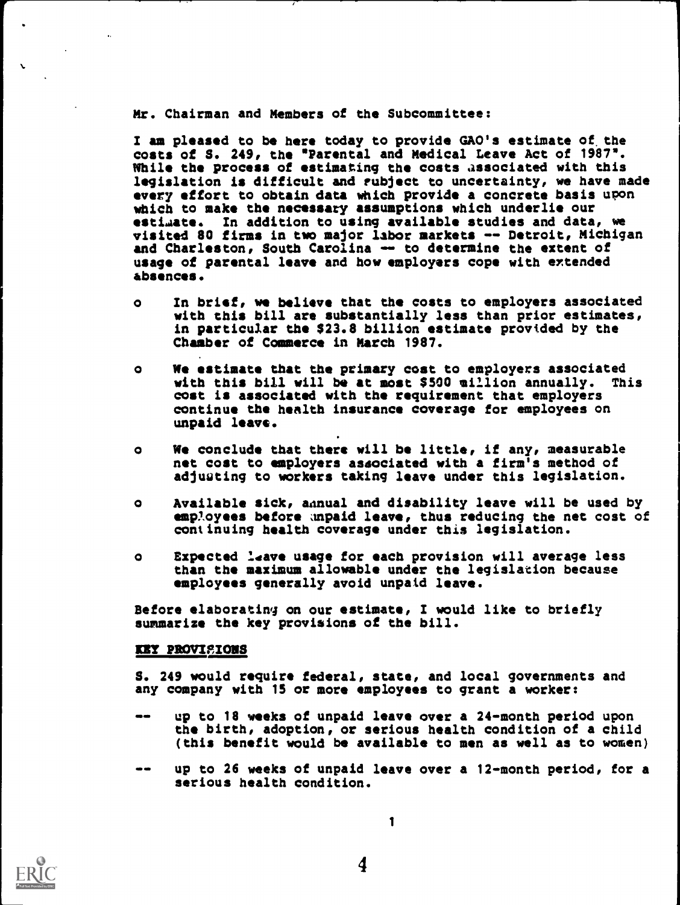Mr. Chairman and Members of the Subcommittee:

I am pleased to be here today to provide GAO's estimate of. the costs of S. 249, the \*Parental and Medical Leave Act of 1987\*. While the process of estimating the costs associated with this legislation is difficult and subject to uncertainty, we have made every effort to obtain data which provide a concrete basis upon which to make the necessary assumptions which underlie our estimate. In addition to using available studies and data, we visited 80 firms in two major labor markets -- Detroit, Michigan || and Charleston, South Carolina -- to determine the extent of usage of parental leave and how employers cope with extended absences.

- o In brief, we believe that the costs to employers associated with this bill are substantially less than prior estimates, in particular the \$23.8 billion estimate provided by the Chamber of Commerce in March 1987.
- o We estimate that the primary cost to employers associated<br>with this bill will be at most \$500 million annually. This with this bill will be at most \$500 million annually. cost is associated with the requirement that employers continue the health insurance coverage for employees on unpaid leave.
- o We conclude that there will be little, if any, measurable net cost to employers associated with a firm's method of adjusting to workers taking leave under this legislation.
- o Available sick, ainual and disability leave will be used by employees before unpaid leave, thus reducing the net cost of continuing health coverage under this legislation.
- o Expected leave usage for each provision will average less than the maximum allowable under the legislation because employees generally avoid unpaid leave.

Before elaborating on our estimate, I would like to briefly summarize the key provisions of the bill.

### EE? PROVISIONS

S. 249 would require federal, state, and local governments and any company with 15 or more employees to grant a worker:

- up to 18 weeks of unpaid leave over a 24-month period upon the birth, adoption, or serious health condition of a child (this benefit would be available to men as well as to women)
- -- up to 26 weeks of unpaid leave over a 12-month period, for a serious health condition.

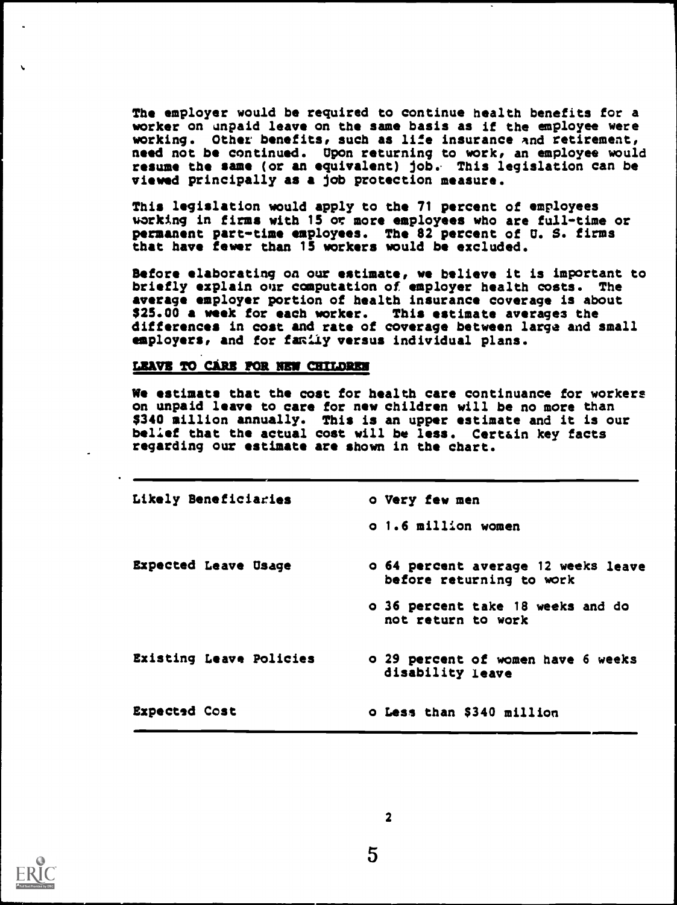The employer would be required to continue health benefits for a worker on unpaid leave on the same basis as if the employee were working. Other benefits, such as life insurance And retirement, need not be continued. Upon returning to work, an employee would resume the same (or an equivalent) job. This legislation can be viewed principally as a job protection measure.

This legislation would apply to the 71 percent of employees working in firms with 15 or more employees who are full-time or permanent part-time employees. The 82 percent of U. S. firms that have fewer than 15 workers would be excluded.

Before elaborating on our estimate, we believe it is important to<br>briefly explain our computation of employer health costs. The briefly explain our computation of employer health costs. average employer portion of health insurance coverage is about \$25.00 a week for each worker. This estimate averages the differences in cost and rate of coverage between large and small employers, and for family versus individual plans.

#### LEAVE TO CARE FOR NEW CHILDREN

We estimate that the cost for health care continuance for workers on unpaid leave to care for new children will be no more than \$340 million annually. This is an upper estimate and it is our belief that the actual cost will be less. Certain key facts regarding our estimate are shown in the chart.

| Likely Beneficiaries        | o Very few men                                                  |
|-----------------------------|-----------------------------------------------------------------|
|                             | o 1.6 million women                                             |
| <b>Expected Leave Usage</b> | o 64 percent average 12 weeks leave<br>before returning to work |
|                             | o 36 percent take 18 weeks and do<br>not return to work         |
| Existing Leave Policies     | o 29 percent of women have 6 weeks<br>disability leave          |
| Expected Cost               | o Less than \$340 million                                       |

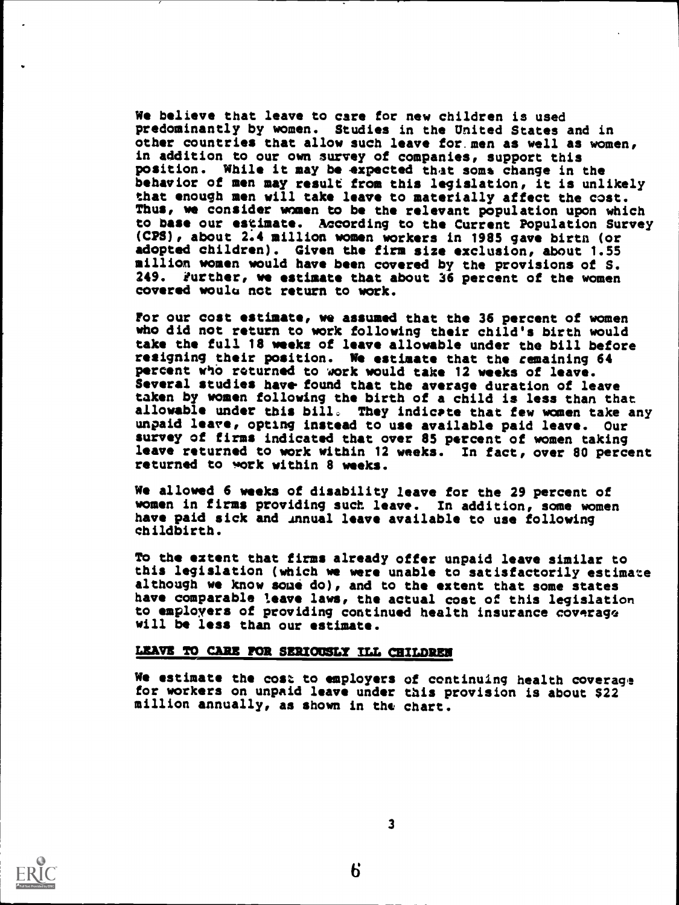We believe that leave to care for new children is used predominantly by women. Studies in the United States and in other countries that allow such leave for. men as well as women, in addition to our own survey of companies, support this position. While it may be expected thet some change in the behavior of men may result from this legislation, it is unlikely that enough men will take leave to materially affect the cost. Thus, we consider women to be the relevant population upon which to base our estimate. According to the Current Population Survey (CPS), about 2.4 million women workers in 1985 gave birtn (or adopted children). Given the firm size exclusion, about 1.55 million women would have been covered by the provisions of S. 249. Further, we estimate that about 36 percent of the women covered woulu not return to work.

For our cost estimate, we assumed that the 36 percent of women who did not return to work following their child's birth would take the full 18 weeks of leave allowable under the bill before resigning their position. We estimate that the remaining 64 percent who returned to work would take 12 weeks of leave. Several studies have found that the average duration of leave taken by women following the birth of a child is less than that allowable under this bill. They indicate that few women take any unpaid leave, opting instead to use available paid leave. Our survey of firms indicated that over 85 percent of women taking leave returned to work within 12 weeks. In fact, over 80 percent returned to work within 8 weeks.

We allowed 6 weeks of disability leave for the 29 percent of women in firms providing such leave. In addition, some women have paid sick and innual leave available to use following childbirth.

To the extent that firms already offer unpaid leave similar to this legislation (which we were unable to satisfactorily estimate although we know some do), and to the extent that some states have comparable leave laws, the actual cost of this legislation to employers of providing continued health insurance coverage will be less than our estimate.

## LEAVE TO CARE FOR SERIOUSLY ILL CHILDREN

We estimate the cost to employers of continuing health coverage for workers on unpaid leave under this provision is about \$22 million annually, as shown in the chart.

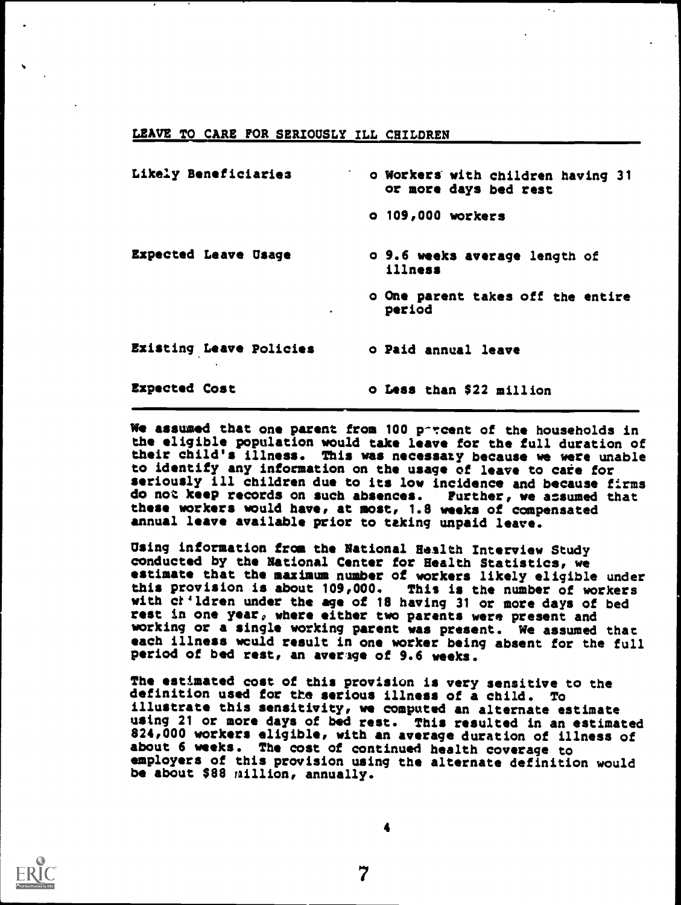## LEAVE TO CARE FOR SERIOUSLY ILL CHILDREN

| Likely Beneficiaries        | o Workers with children having 31<br>or more days bed rest |
|-----------------------------|------------------------------------------------------------|
|                             | o 109,000 workers                                          |
| <b>Expected Leave Usage</b> | o 9.6 weeks average length of<br>illness                   |
|                             | o One parent takes off the entire<br>period                |
| Existing Leave Policies     | o Paid annual leave                                        |
| <b>Expected Cost</b>        | o Less than \$22 million                                   |

٠.

We assumed that one parent from 100 porcent of the households in the eligible population would take leave for the full duration of their child's illness. This was necessaty because we were unable to identify any information on the usage of leave to care for seriously ill children due to its low incidence and because firms do not keep records on such absences. Further, we assumed that these workers would have, at most, 1.8 weeks of compensated annual leave available prior to taking unpaid leave.

Using information from the National Health Interview Study conducted by the National Center for Health Statistics, we estimate that the maximum number of workers likely eligible under<br>this provision is about 109,000. This is the number of workers this provision is about 109,000. This is the number of workers<br>with ch'ldren under the age of 18 having 31 or more days of bed rest in one year, where either two parents were present and working or a single working parent was present. We assumed that each illness would result in one worker being absent for the full period of bed rest, an average of 9.6 weeks.

The estimated cost of this provision is very sensitive to the definition used for the serious illness of a child. To illustrate this sensitivity, we computed an alternate estimate using 21 or more days of bed rest. This resulted in an estimated 824,000 workers eligible, with an average duration of illness of about 6 weeks. The cost of continued health coverage to employers of this provision using the alternate definition would be about \$88 million, annually.



7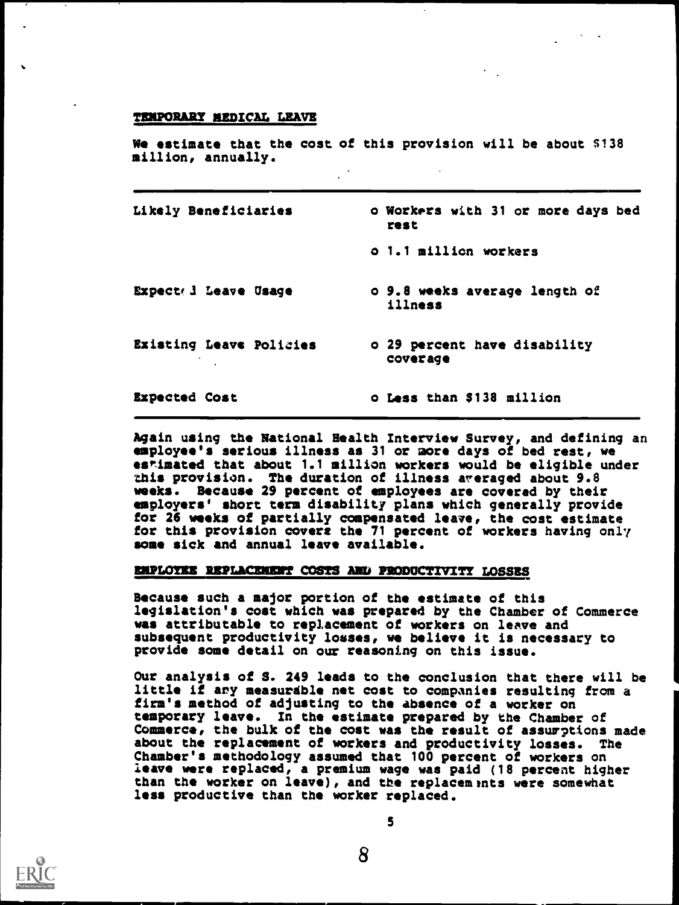#### TEMPORARY MEDICAL LEAVE

We estimate that the cost of this provision will be about \$138 million, annually.

|                      | Likely Beneficiaries    | o Workers with 31 or more days bed<br>rest |
|----------------------|-------------------------|--------------------------------------------|
|                      |                         | o 1.1 million workers                      |
|                      | Expect d Leave Usage    | o 9.8 weeks average length of<br>illness   |
|                      | Existing Leave Policies | o 29 percent have disability<br>coverage   |
| <b>Expected Cost</b> |                         | o Less than \$138 million                  |

Again using the National Health Interview Survey, and defining an employee's serious illness as 31 or more days of bed rest, w estimated that about 1.1 million workers would be eligible under this provision. The duration of illness averaged about 9.8 weeks. Because 29 percent of employees are covered by their employers' short term disability plans which generally provide for 26 weeks of partially compensated leave, the cost estimate for this provision covers the 71 percent of workers having only some sick and annual leave available.

### EMPLOYEE REPLACEMENT COSTS AND PRODUCTIVITY LOSSES

Because such a major portion of the estimate of this legislation's cost which was prepared by the Chamber of C ommerce was attributable to replacement of workers on leave and subsequent productivity losses, we believe it is necessar y to provide some detail on our reasoning on this issue.

Our analysis of S. 249 leads to the conclusion that ther e will be little if any measurable net cost to companies resulting from a firm's method of adjusting to the absence of a worker o temporary leave. In the estimate prepared by the Chamber of Commerce, the bulk of the cost was the result of assurptions mad about the replacement of workers and productivity losses. Chamber's methodology assumed that 100 percent of workers on leave were replaced, a premium wage was paid (18 percent higher than the worker on leave), and the replacements were somewhat less productive than the worker replaced. er of tions made s. The

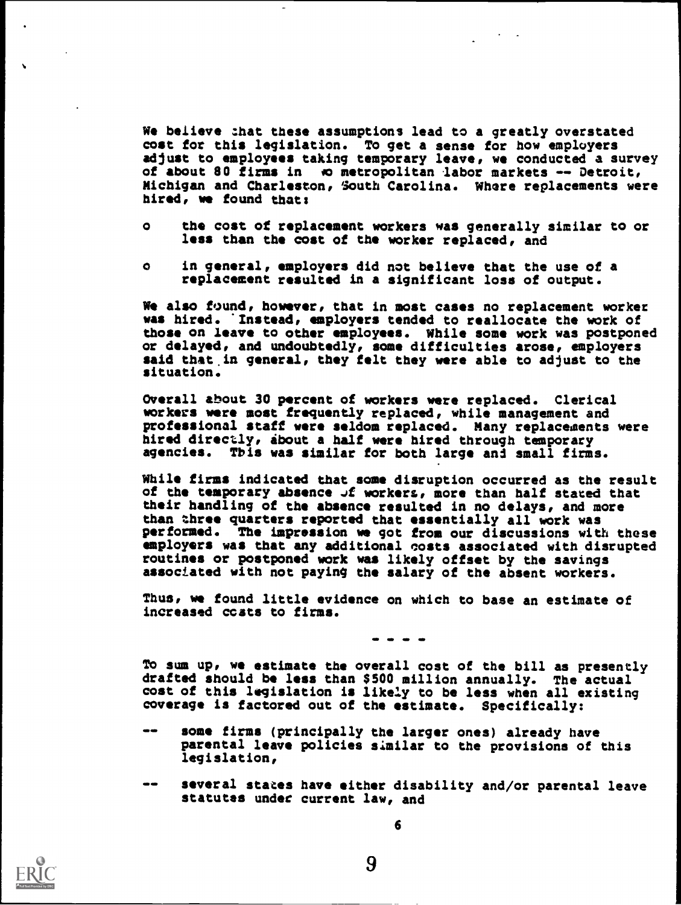We believe that these assumptions lead to a greatly overstated cost for this legislation. To get a sense for how employers adjust to employees taking temporary leave, we conducted a survey of about 80 firms in to metropolitan labor markets -- Detroit, Michigan and Charleston, South Carolina. Where replacements were hired, we found that:

- o the cost of replacement workers was generally similar to or less than the cost of the worker replaced, and
- o in general, employers did not believe that the use of a replacement resulted in a significant loss of output.

We also found, however, that in most cases no replacement worker was hired. Instead, employers tended to reallocate the work of those on leave to other employees. While some work was postponed or delayed, and undoubtedly, some difficulties arose, employers said that in general, they felt they were able to adjust to the situation.

Overall about 30 percent of workers were replaced. Clerical workers were most frequently replaced, while management and professional staff were seldom replaced. Many replacements were hired directly, about a half were hired through temporary agencies. Tbis was similar for both large and small firms.

While firms indicated that some disruption occurred as the result of the temporary absence Jf workers, more than half stated that their handling of the absence resulted in no delays, and more than three quarters reported that essentially all work was performed. The impression we got from our discussions with these employers was that any additional costs associated with disrupted routines or postponed work was likely offset by the savings associated with not paying the salary of the absent workers.

Thus, we found little evidence on which to base an estimate of increased costs to firms.

MID 411 411 ND

To sum up, we estimate the overall cost of the bill as presently drafted should be less than \$500 million annually. The actual cost of this legislation is likely to be less when all existing coverage is factored out of the estimate. Specifically:

- $\bullet$ some firms (principally the larger ones) already have parental leave policies similar to the provisions of this legislation,
- $\frac{1}{2}$ several states have either disability and/or parental leave statutes under current law, and

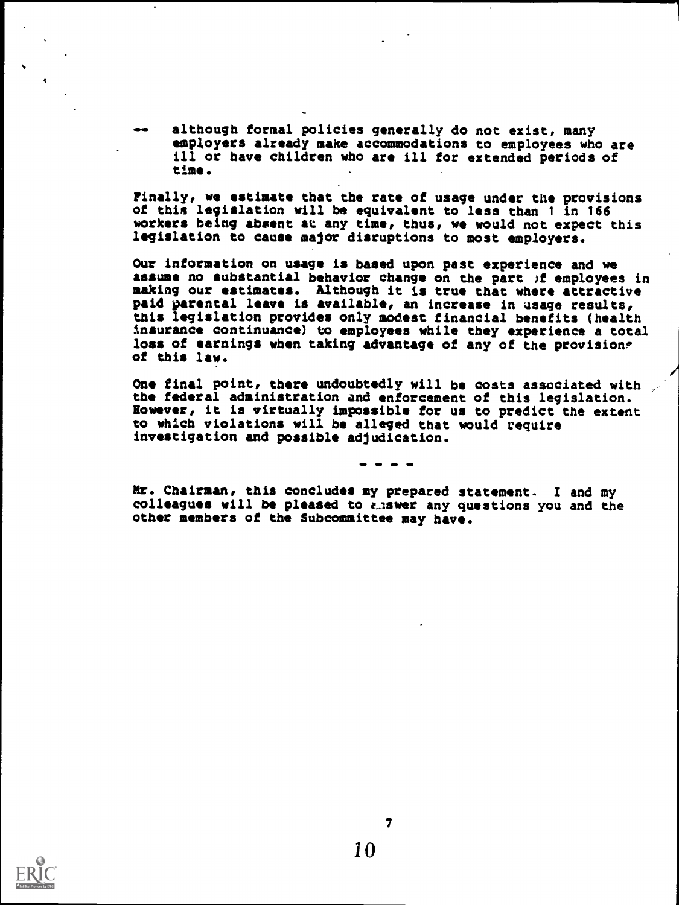although formal policies generally do not exist, many employers already make accommodations to employees who are ill or have children who are ill for extended periods of time.

Finally, we estimate that the rate of usage under the provisions of this legislation will be equivalent to less than <sup>1</sup> in 166 workers being absent at any time, thus, we would not expect this legislation to cause major disruptions to most employers.

Our information on usage is based upon past experience and we assume no substantial behavior change on the part )f employees in making our estimates. Although it is true that where attractive paid parental leave is available, an increase in usage results, this legislation provides only modest financial benefits (health insurance continuance) to employees while they experience a total loss of earnings when taking advantage of any of the provisions of this law.

One final point, there undoubtedly will be costs associated with the federal administration and enforcement of this legislation. However, it is virtually impossible for us to predict the extent to which violations will be alleged that would require investigation and possible adjudication.

Mr. Chairman, this concludes my prepared statement. I and my colleagues will be pleased to answer any questions you and the other members of the Subcommittee may have.



 $\overline{7}$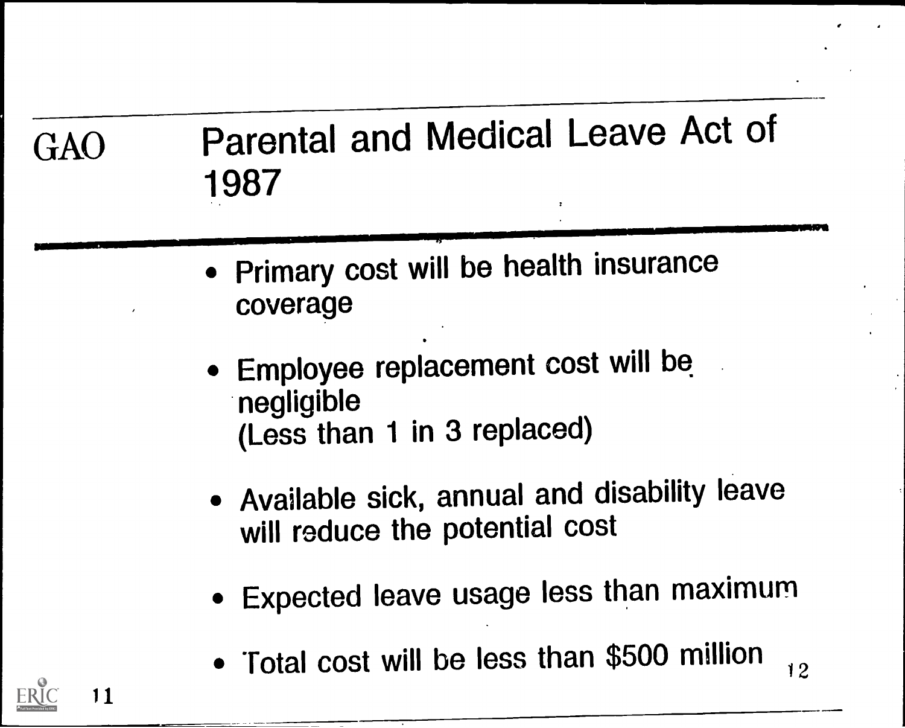# GAO Parental and Medical Leave Act of 1987

- Primary cost will be health insurance coverage
- Employee replacement cost will be negligible (Less than 1 in 3 replaced)
- Available sick, annual and disability leave will reduce the potential cost
- Expected leave usage less than maximum
- Total cost will be less than \$500 million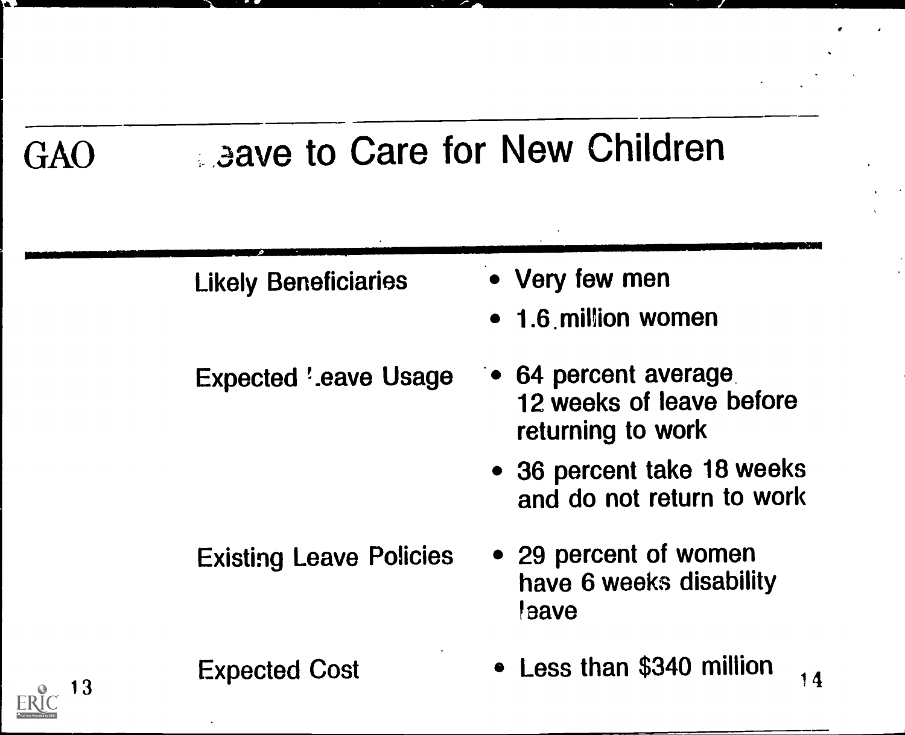# GAO aave to Care for New Children

|    | <b>Likely Beneficiaries</b>    | • Very few men<br>• 1.6 million women                                 |
|----|--------------------------------|-----------------------------------------------------------------------|
|    | <b>Expected '.eave Usage</b>   | • 64 percent average<br>12 weeks of leave before<br>returning to work |
|    |                                | • 36 percent take 18 weeks<br>and do not return to work               |
|    | <b>Existing Leave Policies</b> | • 29 percent of women<br>have 6 weeks disability<br><i>eave</i>       |
| 13 | <b>Expected Cost</b>           | • Less than \$340 million<br>14                                       |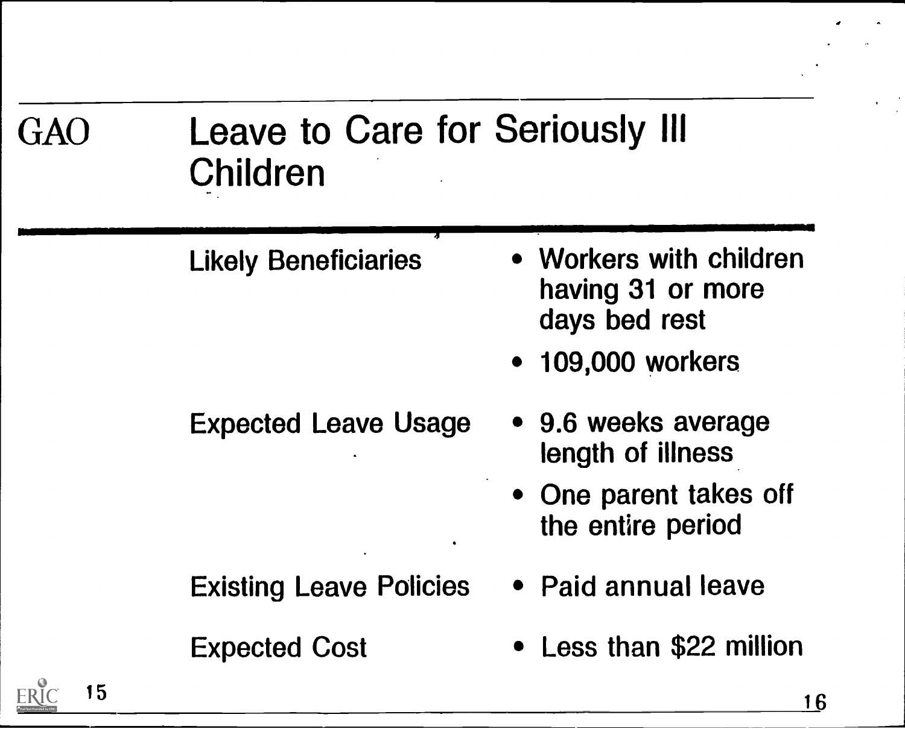| GAO        | <b>Leave to Care for Seriously III</b><br>Children |                                                               |  |
|------------|----------------------------------------------------|---------------------------------------------------------------|--|
|            | <b>Likely Beneficiaries</b>                        | • Workers with children<br>having 31 or more<br>days bed rest |  |
|            |                                                    | <b>109,000 workers</b><br>$\bullet$                           |  |
|            | <b>Expected Leave Usage</b>                        | • 9.6 weeks average<br>length of illness                      |  |
|            |                                                    | • One parent takes off<br>the entire period                   |  |
|            | <b>Existing Leave Policies</b>                     | • Paid annual leave                                           |  |
|            | <b>Expected Cost</b>                               | • Less than \$22 million                                      |  |
| 15<br>ERIC |                                                    | 16                                                            |  |